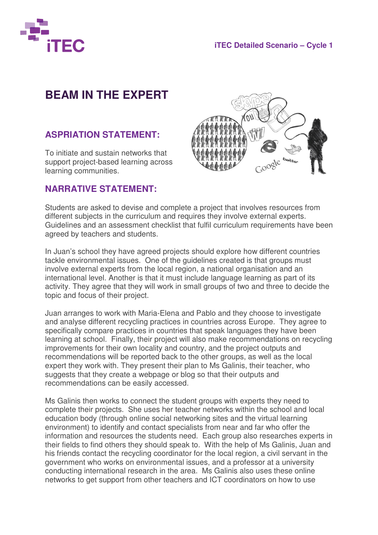

## **BEAM IN THE EXPERT**

## **ASPRIATION STATEMENT:**

To initiate and sustain networks that support project-based learning across learning communities.

## **NARRATIVE STATEMENT:**



Students are asked to devise and complete a project that involves resources from different subjects in the curriculum and requires they involve external experts. Guidelines and an assessment checklist that fulfil curriculum requirements have been agreed by teachers and students.

In Juan's school they have agreed projects should explore how different countries tackle environmental issues. One of the guidelines created is that groups must involve external experts from the local region, a national organisation and an international level. Another is that it must include language learning as part of its activity. They agree that they will work in small groups of two and three to decide the topic and focus of their project.

Juan arranges to work with Maria-Elena and Pablo and they choose to investigate and analyse different recycling practices in countries across Europe. They agree to specifically compare practices in countries that speak languages they have been learning at school. Finally, their project will also make recommendations on recycling improvements for their own locality and country, and the project outputs and recommendations will be reported back to the other groups, as well as the local expert they work with. They present their plan to Ms Galinis, their teacher, who suggests that they create a webpage or blog so that their outputs and recommendations can be easily accessed.

Ms Galinis then works to connect the student groups with experts they need to complete their projects. She uses her teacher networks within the school and local education body (through online social networking sites and the virtual learning environment) to identify and contact specialists from near and far who offer the information and resources the students need. Each group also researches experts in their fields to find others they should speak to. With the help of Ms Galinis, Juan and his friends contact the recycling coordinator for the local region, a civil servant in the government who works on environmental issues, and a professor at a university conducting international research in the area. Ms Galinis also uses these online networks to get support from other teachers and ICT coordinators on how to use